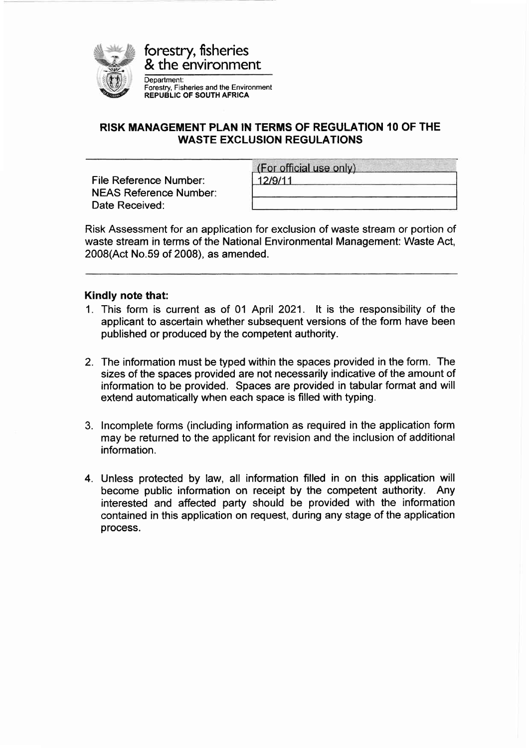

## RISK MANAGEMENT PLAN IN TERMS OF REGULATION 10 OF THE WASTE EXCLUSION REGULATIONS

File Reference Number: NEAS Reference Number: Date Received:

| (For official use only) |  |
|-------------------------|--|
| 12/9/11                 |  |
|                         |  |

Risk Assessment for an application for exclusion of waste stream or portion of waste stream in terms of the National Environmental Management: Waste Act, 2008(Act No.59 of 2008), as amended.

## Kindly note that:

- 1. This form is current as of 01 April 2021. lt is the responsibility of the applicant to ascertain whether subsequent versions of the form have been published or produced by the competent authority.
- 2. The information must be typed within the spaces provided in the form. The sizes of the spaces provided are not necessarily indicative of the amount of information to be provided. Spaces are provided in tabular format and will extend automatically when each space is filled with typing.
- 3. lncomplete forms (including information as required in the application form may be returned to the applicant for revision and the inclusion of additional information.
- 4. Unless protected by law, all information filled in on this application will become public information on receipt by the competent authority. Any interested and affected party should be provided with the information contained in this application on request, during any stage of the application process.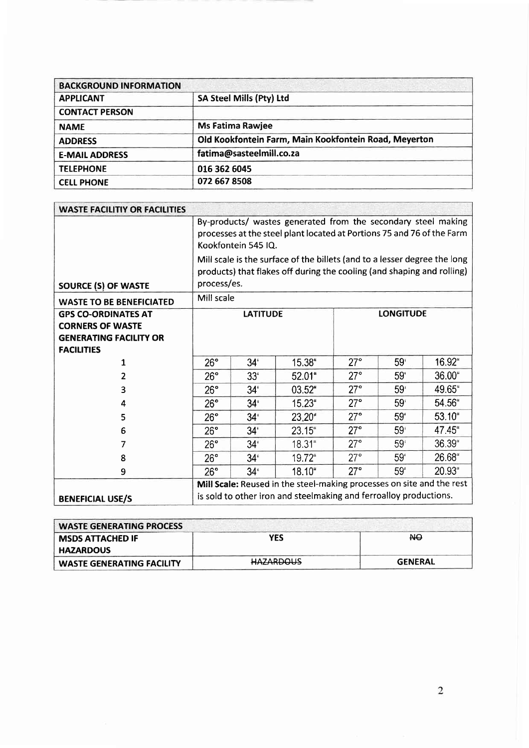| <b>BACKGROUND INFORMATION</b> |                                                       |
|-------------------------------|-------------------------------------------------------|
| <b>APPLICANT</b>              | SA Steel Mills (Pty) Ltd                              |
| <b>CONTACT PERSON</b>         |                                                       |
| <b>NAME</b>                   | <b>Ms Fatima Rawjee</b>                               |
| <b>ADDRESS</b>                | Old Kookfontein Farm, Main Kookfontein Road, Meyerton |
| <b>E-MAIL ADDRESS</b>         | fatima@sasteelmill.co.za                              |
| <b>TELEPHONE</b>              | 016 362 6045                                          |
| <b>CELL PHONE</b>             | 072 667 8508                                          |

| <b>WASTE FACILITIY OR FACILITIES</b>                                                                        |                                                                                                                                                                |                                                                                                                                                                    |           |            |                 |           |
|-------------------------------------------------------------------------------------------------------------|----------------------------------------------------------------------------------------------------------------------------------------------------------------|--------------------------------------------------------------------------------------------------------------------------------------------------------------------|-----------|------------|-----------------|-----------|
|                                                                                                             | By-products/ wastes generated from the secondary steel making<br>processes at the steel plant located at Portions 75 and 76 of the Farm<br>Kookfontein 545 IQ. |                                                                                                                                                                    |           |            |                 |           |
| <b>SOURCE (S) OF WASTE</b>                                                                                  |                                                                                                                                                                | Mill scale is the surface of the billets (and to a lesser degree the long<br>products) that flakes off during the cooling (and shaping and rolling)<br>process/es. |           |            |                 |           |
| <b>WASTE TO BE BENEFICIATED</b>                                                                             | Mill scale                                                                                                                                                     |                                                                                                                                                                    |           |            |                 |           |
| <b>GPS CO-ORDINATES AT</b><br><b>CORNERS OF WASTE</b><br><b>GENERATING FACILITY OR</b><br><b>FACILITIES</b> | <b>LONGITUDE</b><br><b>LATITUDE</b>                                                                                                                            |                                                                                                                                                                    |           |            |                 |           |
| 1                                                                                                           | 26°                                                                                                                                                            | 34'                                                                                                                                                                | 15.38"    | $27^\circ$ | 59 <sup>′</sup> | 16.92"    |
| 2                                                                                                           | $26^\circ$                                                                                                                                                     | 33 <sup>′</sup>                                                                                                                                                    | $52.01$ " | $27^\circ$ | 59 <sup>'</sup> | $36.00$ " |
| 3                                                                                                           | 26°                                                                                                                                                            | 34 <sup>°</sup>                                                                                                                                                    | 03.52"    | $27^\circ$ | 59 <sup>′</sup> | 49.65"    |
| 4                                                                                                           | $26^\circ$                                                                                                                                                     | 34 <sup>t</sup>                                                                                                                                                    | 15.23"    | 27°        | 59 <sup>°</sup> | 54.56     |
| 5                                                                                                           | $26^\circ$                                                                                                                                                     | 34 <sup>°</sup>                                                                                                                                                    | 23.20"    | 27°        | 59 <sup>'</sup> | 53.10"    |
| 6                                                                                                           | $26^\circ$                                                                                                                                                     | 34 <sup>1</sup>                                                                                                                                                    | 23.15"    | $27^\circ$ | 59 <sup>t</sup> | 47.45"    |
| 7                                                                                                           | $26^\circ$                                                                                                                                                     | 34 <sup>°</sup>                                                                                                                                                    | 18.31"    | $27^\circ$ | 59 <sup>°</sup> | 36.39"    |
| 8                                                                                                           | $27^\circ$<br>59 <sup>°</sup><br>19.72"<br>$26^\circ$<br>$34^{6}$                                                                                              |                                                                                                                                                                    |           |            |                 | 26.68"    |
| 9                                                                                                           | $26^\circ$                                                                                                                                                     | $34^{\circ}$                                                                                                                                                       | 18.10"    | $27^\circ$ | 59'             | 20.93"    |
| <b>BENEFICIAL USE/S</b>                                                                                     | Mill Scale: Reused in the steel-making processes on site and the rest<br>is sold to other iron and steelmaking and ferroalloy productions.                     |                                                                                                                                                                    |           |            |                 |           |

| <b>WASTE GENERATING PROCESS</b> |                  |                |
|---------------------------------|------------------|----------------|
| <b>MSDS ATTACHED IF</b>         | YES              | ЖÐ             |
| <b>HAZARDOUS</b>                |                  |                |
| WASTE GENERATING FACILITY       | <b>HAZARDOUS</b> | <b>GENERAL</b> |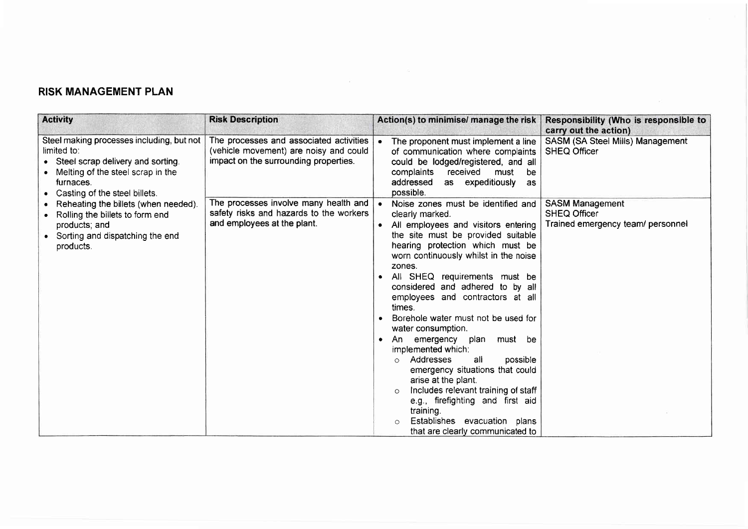## RISK MANAGEMENT PLAN

| <b>Activity</b>                                                                                                                                                                    | <b>Risk Description</b>                                                                                                    | Action(s) to minimise/ manage the risk                                                                                                                                                                                                                                                                                                                                                                                                                                                                                                                                                                                                                                                                                                                        | Responsibility (Who is responsible to<br>carry out the action)                     |
|------------------------------------------------------------------------------------------------------------------------------------------------------------------------------------|----------------------------------------------------------------------------------------------------------------------------|---------------------------------------------------------------------------------------------------------------------------------------------------------------------------------------------------------------------------------------------------------------------------------------------------------------------------------------------------------------------------------------------------------------------------------------------------------------------------------------------------------------------------------------------------------------------------------------------------------------------------------------------------------------------------------------------------------------------------------------------------------------|------------------------------------------------------------------------------------|
| Steel making processes including, but not<br>limited to:<br>• Steel scrap delivery and sorting.<br>Melting of the steel scrap in the<br>furnaces.<br>Casting of the steel billets. | The processes and associated activities<br>(vehicle movement) are noisy and could<br>impact on the surrounding properties. | The proponent must implement a line<br>of communication where complaints<br>could be lodged/registered, and all<br>complaints<br>received<br>must<br>be<br>as expeditiously<br>addressed<br><b>as</b><br>possible.                                                                                                                                                                                                                                                                                                                                                                                                                                                                                                                                            | SASM (SA Steel Mills) Management<br><b>SHEQ Officer</b>                            |
| Reheating the billets (when needed).<br>Rolling the billets to form end<br>products; and<br>Sorting and dispatching the end<br>products.                                           | The processes involve many health and<br>safety risks and hazards to the workers<br>and employees at the plant.            | Noise zones must be identified and<br>clearly marked.<br>All employees and visitors entering<br>the site must be provided suitable<br>hearing protection which must be<br>worn continuously whilst in the noise<br>zones.<br>All SHEQ requirements must be<br>considered and adhered to by all<br>employees and contractors at all<br>times.<br>Borehole water must not be used for<br>water consumption.<br>emergency plan<br>must be<br>- An<br>$\bullet$<br>implemented which:<br>Addresses<br>possible<br>all<br>$\circ$<br>emergency situations that could<br>arise at the plant.<br>Includes relevant training of staff<br>$\circ$<br>e.g., firefighting and first aid<br>training.<br>Establishes evacuation plans<br>that are clearly communicated to | <b>SASM Management</b><br><b>SHEQ Officer</b><br>Trained emergency team/ personnel |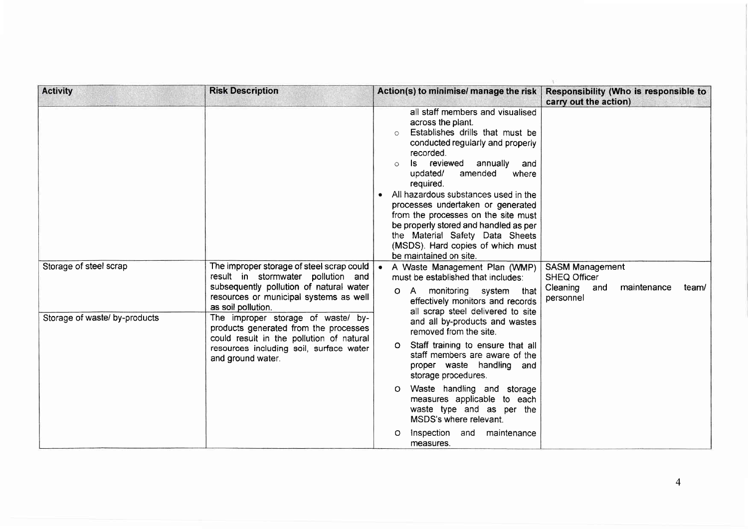| <b>Activity</b>                                                                                                                                                                                                          | <b>Risk Description</b>                                                                                                                                                                    | Action(s) to minimise/ manage the risk                                                                                                                                                                                                                                                                                                                                                                                                                                                             | Responsibility (Who is responsible to<br>carry out the action)                                     |                                                                                                                       |  |
|--------------------------------------------------------------------------------------------------------------------------------------------------------------------------------------------------------------------------|--------------------------------------------------------------------------------------------------------------------------------------------------------------------------------------------|----------------------------------------------------------------------------------------------------------------------------------------------------------------------------------------------------------------------------------------------------------------------------------------------------------------------------------------------------------------------------------------------------------------------------------------------------------------------------------------------------|----------------------------------------------------------------------------------------------------|-----------------------------------------------------------------------------------------------------------------------|--|
|                                                                                                                                                                                                                          |                                                                                                                                                                                            | all staff members and visualised<br>across the plant.<br>Establishes drills that must be<br>$\circ$<br>conducted regularly and properly<br>recorded.<br>Is reviewed<br>annually<br>and<br>updated/<br>amended<br>where<br>required.<br>All hazardous substances used in the<br>processes undertaken or generated<br>from the processes on the site must<br>be properly stored and handled as per<br>the Material Safety Data Sheets<br>(MSDS). Hard copies of which must<br>be maintained on site. |                                                                                                    |                                                                                                                       |  |
| Storage of steel scrap                                                                                                                                                                                                   | The improper storage of steel scrap could<br>result in stormwater pollution and<br>subsequently pollution of natural water<br>resources or municipal systems as well<br>as soil pollution. | • A Waste Management Plan (WMP)<br>must be established that includes:<br>A monitoring system that<br>Ο.<br>effectively monitors and records                                                                                                                                                                                                                                                                                                                                                        | <b>SASM Management</b><br><b>SHEQ Officer</b><br>Cleaning and<br>maintenance<br>team/<br>personnel |                                                                                                                       |  |
| Storage of waste/ by-products<br>The improper storage of waste/ by-<br>products generated from the processes<br>could result in the pollution of natural<br>resources including soil, surface water<br>and ground water. | all scrap steel delivered to site<br>and all by-products and wastes<br>removed from the site.                                                                                              |                                                                                                                                                                                                                                                                                                                                                                                                                                                                                                    |                                                                                                    |                                                                                                                       |  |
|                                                                                                                                                                                                                          | O Staff training to ensure that all<br>staff members are aware of the<br>proper waste handling and<br>storage procedures.                                                                  |                                                                                                                                                                                                                                                                                                                                                                                                                                                                                                    |                                                                                                    |                                                                                                                       |  |
|                                                                                                                                                                                                                          |                                                                                                                                                                                            |                                                                                                                                                                                                                                                                                                                                                                                                                                                                                                    |                                                                                                    | Waste handling and storage<br>O<br>measures applicable to each<br>waste type and as per the<br>MSDS's where relevant. |  |
|                                                                                                                                                                                                                          |                                                                                                                                                                                            | Inspection and<br>maintenance<br>O<br>measures.                                                                                                                                                                                                                                                                                                                                                                                                                                                    |                                                                                                    |                                                                                                                       |  |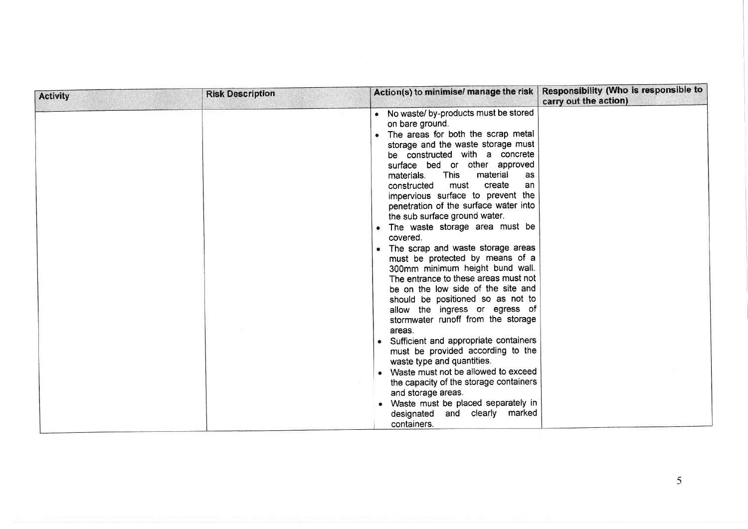| <b>Activity</b> | <b>Risk Description</b> | Action(s) to minimise/ manage the risk                                                                                                                                                                                                                                                                                                                                                                                                                                                                                                                                                                                                                                                                                                                                                                                                                                                                                                                                                            | Responsibility (Who is responsible to<br>carry out the action) |
|-----------------|-------------------------|---------------------------------------------------------------------------------------------------------------------------------------------------------------------------------------------------------------------------------------------------------------------------------------------------------------------------------------------------------------------------------------------------------------------------------------------------------------------------------------------------------------------------------------------------------------------------------------------------------------------------------------------------------------------------------------------------------------------------------------------------------------------------------------------------------------------------------------------------------------------------------------------------------------------------------------------------------------------------------------------------|----------------------------------------------------------------|
|                 |                         | • No waste/ by-products must be stored<br>on bare ground.<br>. The areas for both the scrap metal<br>storage and the waste storage must<br>be constructed with a concrete<br>surface bed or other approved<br>This<br>material<br>materials.<br>as<br>create<br>must<br>constructed<br>an<br>impervious surface to prevent the<br>penetration of the surface water into<br>the sub surface ground water.<br>• The waste storage area must be<br>covered.<br>• The scrap and waste storage areas<br>must be protected by means of a<br>300mm minimum height bund wall.<br>The entrance to these areas must not<br>be on the low side of the site and<br>should be positioned so as not to<br>allow the ingress or egress of<br>stormwater runoff from the storage<br>areas.<br>• Sufficient and appropriate containers<br>must be provided according to the<br>waste type and quantities.<br>• Waste must not be allowed to exceed<br>the capacity of the storage containers<br>and storage areas. |                                                                |
|                 |                         | • Waste must be placed separately in<br>designated and clearly marked<br>containers.                                                                                                                                                                                                                                                                                                                                                                                                                                                                                                                                                                                                                                                                                                                                                                                                                                                                                                              |                                                                |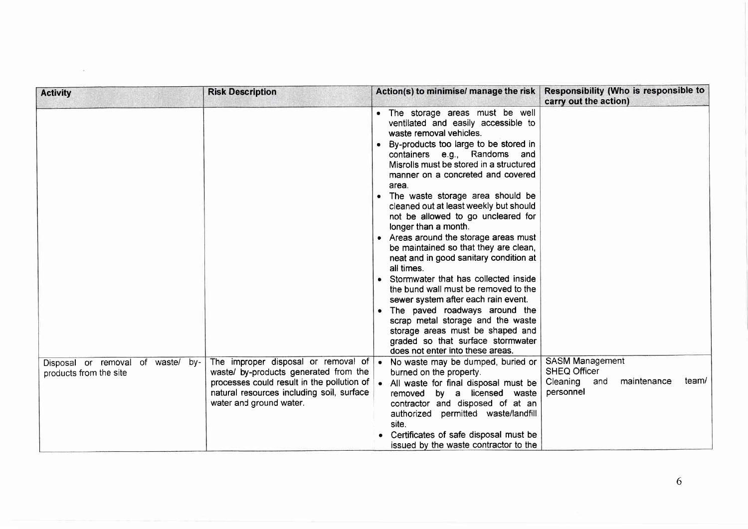| <b>Activity</b>                                             | <b>Risk Description</b>                                                                                                                                                                            | Action(s) to minimise/ manage the risk                                                                                                                                                                                                                                                                                                                                                                                                                                                                                                                                                                                                                                                                                                                                                                                                                                       | Responsibility (Who is responsible to<br>carry out the action)                                        |
|-------------------------------------------------------------|----------------------------------------------------------------------------------------------------------------------------------------------------------------------------------------------------|------------------------------------------------------------------------------------------------------------------------------------------------------------------------------------------------------------------------------------------------------------------------------------------------------------------------------------------------------------------------------------------------------------------------------------------------------------------------------------------------------------------------------------------------------------------------------------------------------------------------------------------------------------------------------------------------------------------------------------------------------------------------------------------------------------------------------------------------------------------------------|-------------------------------------------------------------------------------------------------------|
|                                                             |                                                                                                                                                                                                    | . The storage areas must be well<br>ventilated and easily accessible to<br>waste removal vehicles.<br>• By-products too large to be stored in<br>containers e.g., Randoms and<br>Misrolls must be stored in a structured<br>manner on a concreted and covered<br>area.<br>• The waste storage area should be<br>cleaned out at least weekly but should<br>not be allowed to go uncleared for<br>longer than a month.<br>• Areas around the storage areas must<br>be maintained so that they are clean,<br>neat and in good sanitary condition at<br>all times.<br>• Stormwater that has collected inside<br>the bund wall must be removed to the<br>sewer system after each rain event.<br>• The paved roadways around the<br>scrap metal storage and the waste<br>storage areas must be shaped and<br>graded so that surface stormwater<br>does not enter into these areas. |                                                                                                       |
| Disposal or removal of waste/ by-<br>products from the site | The improper disposal or removal of<br>waste/ by-products generated from the<br>processes could result in the pollution of<br>natural resources including soil, surface<br>water and ground water. | • No waste may be dumped, buried or<br>burned on the property.<br>. All waste for final disposal must be<br>by a licensed waste<br>removed<br>contractor and disposed of at an<br>authorized permitted waste/landfill<br>site.<br>• Certificates of safe disposal must be<br>issued by the waste contractor to the                                                                                                                                                                                                                                                                                                                                                                                                                                                                                                                                                           | <b>SASM Management</b><br><b>SHEQ Officer</b><br>team/<br>Cleaning<br>maintenance<br>and<br>personnel |

 $\sim$   $-$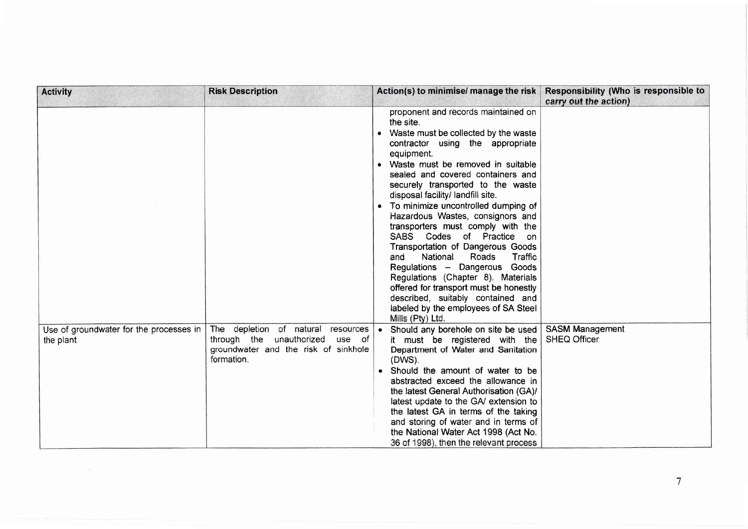| <b>Activity</b>                                      | <b>Risk Description</b>                                                                                                           | Action(s) to minimise/ manage the risk                                                                                                                                                                                                                                                                                                                                                                                                                                                                                                                                                                                                                                                                                                          | Responsibility (Who is responsible to<br>carry out the action) |
|------------------------------------------------------|-----------------------------------------------------------------------------------------------------------------------------------|-------------------------------------------------------------------------------------------------------------------------------------------------------------------------------------------------------------------------------------------------------------------------------------------------------------------------------------------------------------------------------------------------------------------------------------------------------------------------------------------------------------------------------------------------------------------------------------------------------------------------------------------------------------------------------------------------------------------------------------------------|----------------------------------------------------------------|
|                                                      |                                                                                                                                   | proponent and records maintained on<br>the site.<br>• Waste must be collected by the waste<br>contractor using the appropriate<br>equipment.<br>• Waste must be removed in suitable<br>sealed and covered containers and<br>securely transported to the waste<br>disposal facility/ landfill site.<br>• To minimize uncontrolled dumping of<br>Hazardous Wastes, consignors and<br>transporters must comply with the<br>SABS Codes of Practice on<br>Transportation of Dangerous Goods<br>National<br>Roads<br>Traffic<br>and<br>Regulations - Dangerous Goods<br>Regulations (Chapter 8). Materials<br>offered for transport must be honestly<br>described, suitably contained and<br>labeled by the employees of SA Steel<br>Mills (Pty) Ltd. |                                                                |
| Use of groundwater for the processes in<br>the plant | The depletion of natural<br>resources<br>through the unauthorized<br>use of<br>groundwater and the risk of sinkhole<br>formation. | • Should any borehole on site be used<br>it must be registered with the<br>Department of Water and Sanitation<br>(DWS).<br>• Should the amount of water to be<br>abstracted exceed the allowance in<br>the latest General Authorisation (GA)/<br>latest update to the GA/ extension to<br>the latest GA in terms of the taking<br>and storing of water and in terms of<br>the National Water Act 1998 (Act No.<br>36 of 1998), then the relevant process                                                                                                                                                                                                                                                                                        | <b>SASM Management</b><br><b>SHEQ Officer</b>                  |

 $\label{eq:2.1} \nabla_{\theta} \mathcal{L} = \nabla_{\theta} \mathcal{L} \mathcal{L} = \nabla_{\theta} \mathcal{L} \mathcal{L} \mathcal{L}$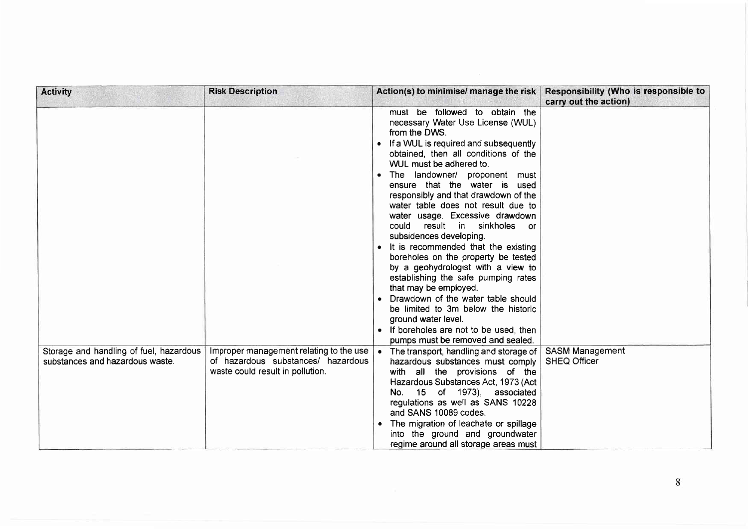| <b>Activity</b>                                                            | <b>Risk Description</b>                                                                                           | Action(s) to minimise/ manage the risk                                                                                                                                                                                                                                                                                                                                                                                                                                                                                                                                                                                                                                                                                                                                                                                                     | Responsibility (Who is responsible to<br>carry out the action) |
|----------------------------------------------------------------------------|-------------------------------------------------------------------------------------------------------------------|--------------------------------------------------------------------------------------------------------------------------------------------------------------------------------------------------------------------------------------------------------------------------------------------------------------------------------------------------------------------------------------------------------------------------------------------------------------------------------------------------------------------------------------------------------------------------------------------------------------------------------------------------------------------------------------------------------------------------------------------------------------------------------------------------------------------------------------------|----------------------------------------------------------------|
|                                                                            |                                                                                                                   | must be followed to obtain the<br>necessary Water Use License (WUL)<br>from the DWS.<br>• If a WUL is required and subsequently<br>obtained, then all conditions of the<br>WUL must be adhered to.<br>• The landowner/ proponent must<br>ensure that the water is used<br>responsibly and that drawdown of the<br>water table does not result due to<br>water usage. Excessive drawdown<br>result in sinkholes<br>could<br>$\alpha$<br>subsidences developing.<br>• It is recommended that the existing<br>boreholes on the property be tested<br>by a geohydrologist with a view to<br>establishing the safe pumping rates<br>that may be employed.<br>• Drawdown of the water table should<br>be limited to 3m below the historic<br>ground water level.<br>• If boreholes are not to be used, then<br>pumps must be removed and sealed. |                                                                |
| Storage and handling of fuel, hazardous<br>substances and hazardous waste. | Improper management relating to the use<br>of hazardous substances/ hazardous<br>waste could result in pollution. | The transport, handling and storage of<br>hazardous substances must comply<br>with all the provisions of the<br>Hazardous Substances Act, 1973 (Act<br>15 of 1973), associated<br>No.<br>regulations as well as SANS 10228<br>and SANS 10089 codes.<br>The migration of leachate or spillage<br>into the ground and groundwater<br>regime around all storage areas must                                                                                                                                                                                                                                                                                                                                                                                                                                                                    | <b>SASM Management</b><br><b>SHEQ Officer</b>                  |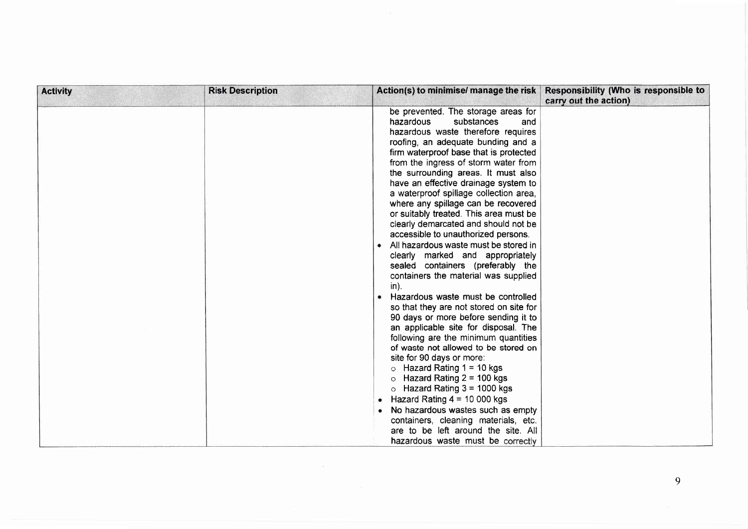| <b>Activity</b> | <b>Risk Description</b> | Action(s) to minimise/ manage the risk                                                                                                                                                                                                                                                                                                                                                                                                                                                                                                                                                                                                                                                                                                                                                                                                                                                                                                                                                                                                                                                                                                                                                                                                                                                              | Responsibility (Who is responsible to<br>carry out the action) |
|-----------------|-------------------------|-----------------------------------------------------------------------------------------------------------------------------------------------------------------------------------------------------------------------------------------------------------------------------------------------------------------------------------------------------------------------------------------------------------------------------------------------------------------------------------------------------------------------------------------------------------------------------------------------------------------------------------------------------------------------------------------------------------------------------------------------------------------------------------------------------------------------------------------------------------------------------------------------------------------------------------------------------------------------------------------------------------------------------------------------------------------------------------------------------------------------------------------------------------------------------------------------------------------------------------------------------------------------------------------------------|----------------------------------------------------------------|
|                 |                         | be prevented. The storage areas for<br>substances<br>hazardous<br>and<br>hazardous waste therefore requires<br>roofing, an adequate bunding and a<br>firm waterproof base that is protected<br>from the ingress of storm water from<br>the surrounding areas. It must also<br>have an effective drainage system to<br>a waterproof spillage collection area,<br>where any spillage can be recovered<br>or suitably treated. This area must be<br>clearly demarcated and should not be<br>accessible to unauthorized persons.<br>• All hazardous waste must be stored in<br>clearly marked and appropriately<br>sealed containers (preferably the<br>containers the material was supplied<br>$in$ ).<br>Hazardous waste must be controlled<br>so that they are not stored on site for<br>90 days or more before sending it to<br>an applicable site for disposal. The<br>following are the minimum quantities<br>of waste not allowed to be stored on<br>site for 90 days or more:<br>$\circ$ Hazard Rating 1 = 10 kgs<br>Hazard Rating $2 = 100$ kgs<br>$\circ$<br>$\circ$ Hazard Rating 3 = 1000 kgs<br>• Hazard Rating $4 = 10000$ kgs<br>• No hazardous wastes such as empty<br>containers, cleaning materials, etc.<br>are to be left around the site. All<br>hazardous waste must be correctly |                                                                |

 $\alpha = \frac{1}{2} \left( \frac{1}{2} \right)$  ,  $\alpha = \frac{1}{2} \left( \frac{1}{2} \right)$  ,  $\alpha = \frac{1}{2} \left( \frac{1}{2} \right)$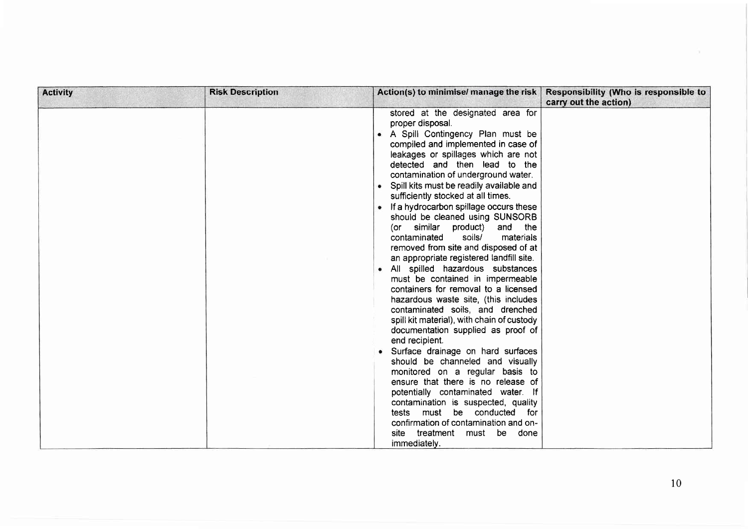| <b>Activity</b> | <b>Risk Description</b> | Action(s) to minimise/ manage the risk                                                                                                                                                                                                                                                                                                                                                                                                                                                                                                                                                                                                                                                                                                                                                                                                                                                                                                                                                                                                                                                                                                                                                                                                                           | Responsibility (Who is responsible to<br>carry out the action) |
|-----------------|-------------------------|------------------------------------------------------------------------------------------------------------------------------------------------------------------------------------------------------------------------------------------------------------------------------------------------------------------------------------------------------------------------------------------------------------------------------------------------------------------------------------------------------------------------------------------------------------------------------------------------------------------------------------------------------------------------------------------------------------------------------------------------------------------------------------------------------------------------------------------------------------------------------------------------------------------------------------------------------------------------------------------------------------------------------------------------------------------------------------------------------------------------------------------------------------------------------------------------------------------------------------------------------------------|----------------------------------------------------------------|
|                 |                         | stored at the designated area for<br>proper disposal.<br>• A Spill Contingency Plan must be<br>compiled and implemented in case of<br>leakages or spillages which are not<br>detected and then lead to the<br>contamination of underground water.<br>• Spill kits must be readily available and<br>sufficiently stocked at all times.<br>• If a hydrocarbon spillage occurs these<br>should be cleaned using SUNSORB<br>similar product)<br>and the<br>(or<br>soils/<br>materials<br>contaminated<br>removed from site and disposed of at<br>an appropriate registered landfill site.<br>• All spilled hazardous substances<br>must be contained in impermeable<br>containers for removal to a licensed<br>hazardous waste site, (this includes<br>contaminated soils, and drenched<br>spill kit material), with chain of custody<br>documentation supplied as proof of<br>end recipient.<br>• Surface drainage on hard surfaces<br>should be channeled and visually<br>monitored on a regular basis to<br>ensure that there is no release of<br>potentially contaminated water. If<br>contamination is suspected, quality<br>must be conducted<br>tests<br>for<br>confirmation of contamination and on-<br>treatment<br>must be<br>site<br>done<br>immediately. |                                                                |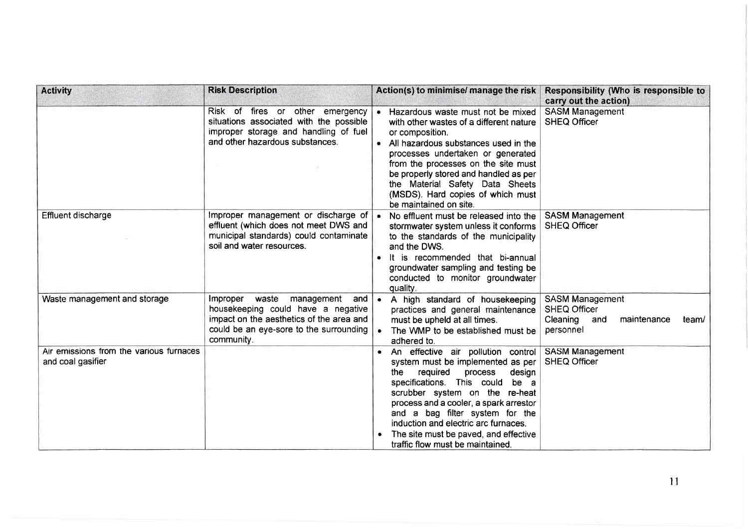| <b>Activity</b>                                              | <b>Risk Description</b>                                                                                                                                                             | Action(s) to minimise/ manage the risk                                                                                                                                                                                                                                                                                                                                                    | Responsibility (Who is responsible to<br>carry out the action)                                        |
|--------------------------------------------------------------|-------------------------------------------------------------------------------------------------------------------------------------------------------------------------------------|-------------------------------------------------------------------------------------------------------------------------------------------------------------------------------------------------------------------------------------------------------------------------------------------------------------------------------------------------------------------------------------------|-------------------------------------------------------------------------------------------------------|
|                                                              | Risk of fires or other emergency<br>situations associated with the possible<br>improper storage and handling of fuel<br>and other hazardous substances.                             | • Hazardous waste must not be mixed<br>with other wastes of a different nature<br>or composition.<br>• All hazardous substances used in the<br>processes undertaken or generated<br>from the processes on the site must<br>be properly stored and handled as per<br>the Material Safety Data Sheets<br>(MSDS). Hard copies of which must<br>be maintained on site.                        | <b>SASM Management</b><br><b>SHEQ Officer</b>                                                         |
| Effluent discharge                                           | Improper management or discharge of<br>effluent (which does not meet DWS and<br>municipal standards) could contaminate<br>soil and water resources.                                 | No effluent must be released into the<br>$\bullet$<br>stormwater system unless it conforms<br>to the standards of the municipality<br>and the DWS.<br>. It is recommended that bi-annual<br>groundwater sampling and testing be<br>conducted to monitor groundwater<br>quality.                                                                                                           | <b>SASM Management</b><br><b>SHEQ Officer</b>                                                         |
| Waste management and storage                                 | Improper<br>waste<br>management<br>and  <br>housekeeping could have a negative<br>impact on the aesthetics of the area and<br>could be an eye-sore to the surrounding<br>community. | A high standard of housekeeping<br>$\bullet$<br>practices and general maintenance<br>must be upheld at all times.<br>The WMP to be established must be<br>$\bullet$<br>adhered to.                                                                                                                                                                                                        | <b>SASM Management</b><br><b>SHEQ Officer</b><br>Cleaning<br>maintenance<br>and<br>team/<br>personnel |
| Air emissions from the various furnaces<br>and coal gasifier |                                                                                                                                                                                     | An effective air pollution control<br>system must be implemented as per<br>the<br>required<br>process<br>design<br>specifications. This could<br>be a<br>scrubber system on the re-heat<br>process and a cooler, a spark arrestor<br>and a bag filter system for the<br>induction and electric arc furnaces.<br>The site must be paved, and effective<br>traffic flow must be maintained. | <b>SASM Management</b><br>SHEQ Officer                                                                |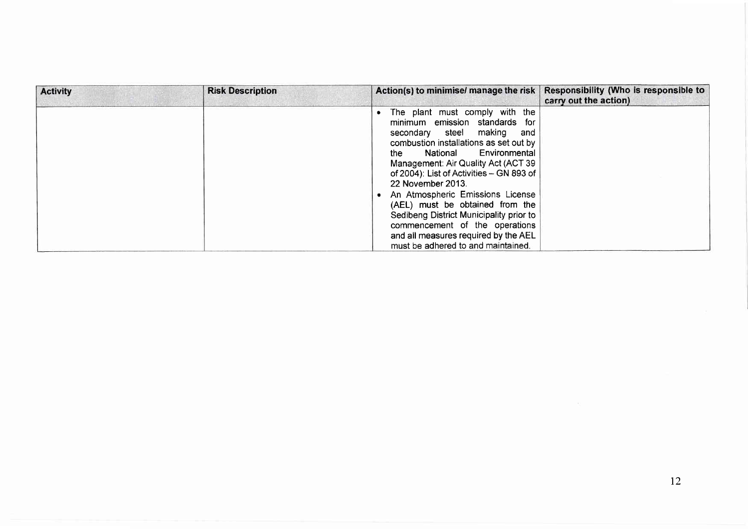| <b>Activity</b> | <b>Risk Description</b> | Action(s) to minimise/ manage the risk                                                                                                                                                                                                                                                                                                                                                                                                                                                                                    | Responsibility (Who is responsible to<br>carry out the action) |
|-----------------|-------------------------|---------------------------------------------------------------------------------------------------------------------------------------------------------------------------------------------------------------------------------------------------------------------------------------------------------------------------------------------------------------------------------------------------------------------------------------------------------------------------------------------------------------------------|----------------------------------------------------------------|
|                 |                         | The plant must comply with the<br>minimum emission standards for<br>secondary steel making<br>and<br>combustion installations as set out by<br>Environmental<br>National<br>the<br>Management: Air Quality Act (ACT 39<br>of 2004): List of Activities - GN 893 of<br>22 November 2013.<br>An Atmospheric Emissions License<br>(AEL) must be obtained from the<br>Sedibeng District Municipality prior to<br>commencement of the operations<br>and all measures required by the AEL<br>must be adhered to and maintained. |                                                                |